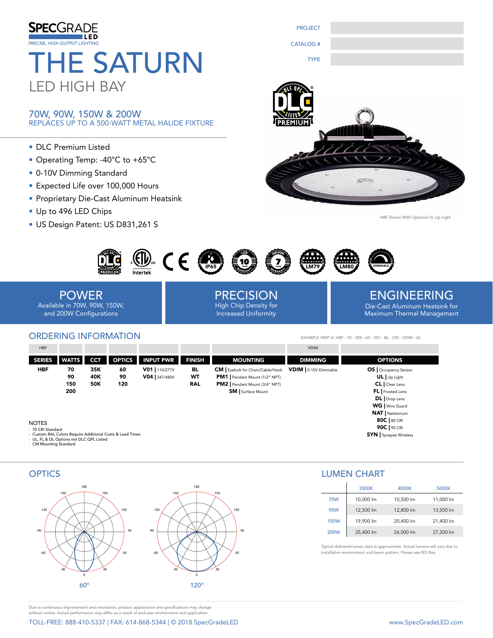

### 70W, 90W, 150W & 200W REPLACES UP TO A 500-WATT METAL HALIDE FIXTURE

- DLC Premium Listed
- Operating Temp: -40°C to +65°C
- 0-10V Dimming Standard
- Expected Life over 100,000 Hours
- Proprietary Die-Cast Aluminum Heatsink
- Up to 496 LED Chips
- US Design Patent: US D831,261 S





HBF Shown With Optional UL Up Light



POWER Available in 70W, 90W, 150W, and 200W Configurations

## ORDERING INFORMATION

PRECISION High Chip Density for Increased Uniformity

ENGINEERING Die-Cast Aluminum Heatsink for Maximum Thermal Management

EXAMPLE PART #: HBF - 70 - 35K - 60 - V01 - BL - CM - VDIM - UL

| HBF           |              |            |               |                  |               |                                        | <b>VDIM</b>           |                         |
|---------------|--------------|------------|---------------|------------------|---------------|----------------------------------------|-----------------------|-------------------------|
| <b>SERIES</b> | <b>WATTS</b> | <b>CCT</b> | <b>OPTICS</b> | <b>INPUT PWR</b> | <b>FINISH</b> | <b>MOUNTING</b>                        | <b>DIMMING</b>        | <b>OPTIONS</b>          |
| HBF           | 70           | 35K        | 60            | V01   110/277V   | BL            | <b>CM</b> Eyebolt for Chain/Cable/Hook | VDIM   0-10V Dimmable | OS   Occupancy Sensor   |
|               | 90           | 40K        | 90            | V04 347/480V     | WT            | PM1   Pendant Mount (1/2" NPT)         |                       | $UL$ Up Light           |
|               | 150          | <b>50K</b> | 120           |                  | <b>RAL</b>    | PM2   Pendant Mount (3/4" NPT)         |                       | CL   Clear Lens         |
|               | 200          |            |               |                  |               | <b>SM</b> Surface Mount                |                       | FL   Frosted Lens       |
|               |              |            |               |                  |               |                                        |                       | DL   Drop Lens          |
|               |              |            |               |                  |               |                                        |                       | WG   Wire Guard         |
|               |              |            |               |                  |               |                                        |                       | <b>NAT</b>   Natatorium |

NOTES

- 
- 70 CRI Standard Custom RAL Colors Require Additional Costs & Lead Times UL, FL & DL Options not DLC QPL Listed CM Mounting Standard



|             | 3500K     | 4000K     | 5000K     |
|-------------|-----------|-----------|-----------|
| <b>70W</b>  | 10,000 lm | 10,500 lm | 11,000 lm |
| <b>90W</b>  | 12,500 lm | 12,800 lm | 13,500 lm |
| <b>150W</b> | 19,900 lm | 20,400 lm | 21,400 lm |
| <b>200W</b> | 25,400 lm | 26,000 lm | 27,200 lm |

80C | 80 CRI 90C | 90 CRI SYN | Synapse Wireless

Typical delivered lumen data is approximate. Actual lumens will vary due to .<br>stallation environment and beam pattern. Please see IES files.

Due to continuous improvement and innovation, product appearance and specifications may change without notice. Actual performance may differ as a result of end-user environment and application.

TOLL-FREE: 888-410-5337 | FAX: 614-868-5344 | © 2018 SpecGradeLED www.SpecGradeLED.com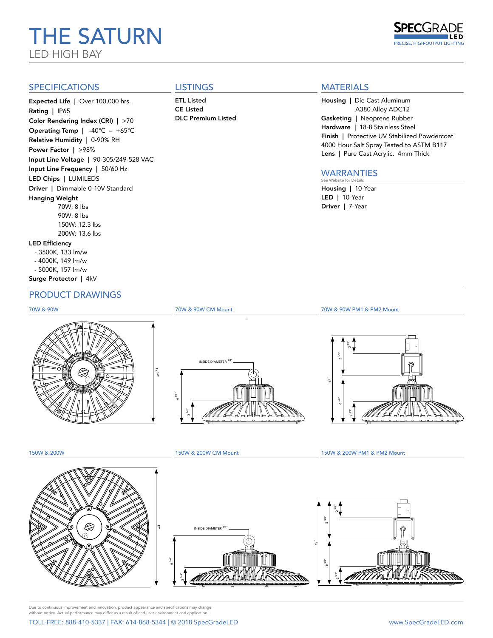# THE SATURN LED HIGH BAY



### SPECIFICATIONS

Expected Life | Over 100,000 hrs. Rating | IP65 Color Rendering Index (CRI) | >70 Operating Temp | -40°C – +65°C Relative Humidity | 0-90% RH Power Factor | >98% Input Line Voltage | 90-305/249-528 VAC Input Line Frequency | 50/60 Hz LED Chips | LUMILEDS Driver | Dimmable 0-10V Standard Hanging Weight 70W: 8 lbs 90W: 8 lbs 150W: 12.3 lbs 200W: 13.6 lbs LED Efficiency - 3500K, 133 lm/w

- 4000K, 149 lm/w
- 5000K, 157 lm/w

#### Surge Protector | 4kV

# PRODUCT DRAWINGS

#### 70W & 90W



12 1/2"

**LISTINGS** ETL Listed

CE Listed DLC Premium Listed

# **MATERIALS**

Housing | Die Cast Aluminum A380 Alloy ADC12 Gasketing | Neoprene Rubber Hardware | 18-8 Stainless Steel Finish | Protective UV Stabilized Powdercoat 4000 Hour Salt Spray Tested to ASTM B117 Lens | Pure Cast Acrylic. 4mm Thick

#### WARRANTIES See Website for De

Housing | 10-Year LED | 10-Year Driver | 7-Year

6 1/4"  $2^{3/4}$ " INSIDE DIAMETER 3/4"



150W & 200W



150W & 200W CM Mount

70W & 90W CM Mount

150W & 200W PM1 & PM2 Mount

70W & 90W PM1 & PM2 Mount





Due to continuous improvement and innovation, product appearance and specifications may change without notice. Actual performance may differ as a result of end-user environment and application.